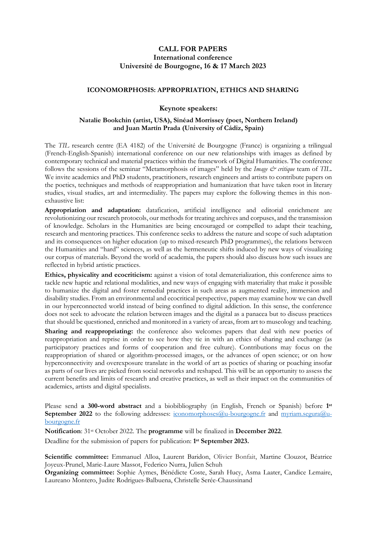# **CALL FOR PAPERS International conference Université de Bourgogne, 16 & 17 March 2023**

# **ICONOMORPHOSIS: APPROPRIATION, ETHICS AND SHARING**

# **Keynote speakers:**

### **Natalie Bookchin (artist, USA), Sinéad Morrissey (poet, Northern Ireland) and Juan Martín Prada (University of Cádiz, Spain)**

The *TIL* research centre (EA 4182) of the Université de Bourgogne (France) is organizing a trilingual (French-English-Spanish) international conference on our new relationships with images as defined by contemporary technical and material practices within the framework of Digital Humanities. The conference follows the sessions of the seminar "Metamorphosis of images" held by the *Image & critique* team of *TIL*. We invite academics and PhD students, practitioners, research engineers and artists to contribute papers on the poetics, techniques and methods of reappropriation and humanization that have taken root in literary studies, visual studies, art and intermediality. The papers may explore the following themes in this nonexhaustive list:

**Appropriation and adaptation:** datafication, artificial intelligence and editorial enrichment are revolutionizing our research protocols, our methods for treating archives and corpuses, and the transmission of knowledge. Scholars in the Humanities are being encouraged or compelled to adapt their teaching, research and mentoring practices. This conference seeks to address the nature and scope of such adaptation and its consequences on higher education (up to mixed-research PhD programmes), the relations between the Humanities and "hard" sciences, as well as the hermeneutic shifts induced by new ways of visualizing our corpus of materials. Beyond the world of academia, the papers should also discuss how such issues are reflected in hybrid artistic practices.

**Ethics, physicality and ecocriticism:** against a vision of total dematerialization, this conference aims to tackle new haptic and relational modalities, and new ways of engaging with materiality that make it possible to humanize the digital and foster remedial practices in such areas as augmented reality, immersion and disability studies. From an environmental and ecocritical perspective, papers may examine how we can dwell in our hyperconnected world instead of being confined to digital addiction. In this sense, the conference does not seek to advocate the relation between images and the digital as a panacea but to discuss practices that should be questioned, enriched and monitored in a variety of areas, from art to museology and teaching.

Sharing and reappropriating: the conference also welcomes papers that deal with new poetics of reappropriation and reprise in order to see how they tie in with an ethics of sharing and exchange (as participatory practices and forms of cooperation and free culture). Contributions may focus on the reappropriation of shared or algorithm-processed images, or the advances of open science; or on how hyperconnectivity and overexposure translate in the world of art as poetics of sharing or poaching insofar as parts of our lives are picked from social networks and reshaped. This will be an opportunity to assess the current benefits and limits of research and creative practices, as well as their impact on the communities of academics, artists and digital specialists.

Please send **a 300-word abstract** and a biobibliography (in English, French or Spanish) before **1 st September 2022** to the following addresses: [iconomorphoses@u-bourgogne.fr](mailto:iconomorphoses@u-bourgogne.fr) and [myriam.segura@u](mailto:myriam.segura@u-bourgogne.fr)[bourgogne.fr](mailto:myriam.segura@u-bourgogne.fr)

**Notification**: 31st October 2022. The **programme** will be finalized in **December 2022**.

Deadline for the submission of papers for publication: **1 st September 2023.**

**Scientific committee:** Emmanuel Alloa, Laurent Baridon, Olivier Bonfait, Martine Clouzot, Béatrice Joyeux-Prunel, Marie-Laure Massot, Federico Nurra, Julien Schuh

**Organizing committee:** Sophie Aymes, Bénédicte Coste, Sarah Hucy, Asma Laater, Candice Lemaire, Laureano Montero, Judite Rodrigues-Balbuena, Christelle Serée-Chaussinand